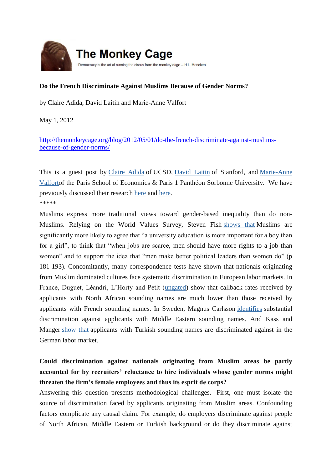

## **Do the French Discriminate Against Muslims Because of Gender Norms?**

by Claire Adida, David Laitin and Marie-Anne Valfort

May 1, 2012

[http://themonkeycage.org/blog/2012/05/01/do-the-french-discriminate-against-muslims](http://themonkeycage.org/blog/2012/05/01/do-the-french-discriminate-against-muslims-because-of-gender-norms/)[because-of-gender-norms/](http://themonkeycage.org/blog/2012/05/01/do-the-french-discriminate-against-muslims-because-of-gender-norms/)

This is a guest post by [Claire Adida](http://polisci2.ucsd.edu/cadida/Site/Welcome.html) of UCSD, [David Laitin](http://politicalscience.stanford.edu/faculty/david-laitin) of Stanford, and [Marie-Anne](http://sites.google.com/site/mavalfortwebpage/)  [Valforto](http://sites.google.com/site/mavalfortwebpage/)f the Paris School of Economics & Paris 1 Panthéon Sorbonne University. We have previously discussed their research [here](http://themonkeycage.org/blog/2011/02/07/discrimination_against_europea/) and [here.](http://themonkeycage.org/blog/2011/04/11/the_sources_of_french_discrimi/) \*\*\*\*\*

Muslims express more traditional views toward gender-based inequality than do non-Muslims. Relying on the World Values Survey, Steven Fish [shows that](http://www.amazon.com/Are-Muslims-Distinctive-Look-Evidence/dp/0199769214) Muslims are significantly more likely to agree that "a university education is more important for a boy than for a girl", to think that "when jobs are scarce, men should have more rights to a job than women" and to support the idea that "men make better political leaders than women do" (p 181-193). Concomitantly, many correspondence tests have shown that nationals originating from Muslim dominated cultures face systematic discrimination in European labor markets. In France, Duguet, Léandri, L'Horty and Petit [\(ungated\)](http://papers.ssrn.com/sol3/papers.cfm?abstract_id=1138244) show that callback rates received by applicants with North African sounding names are much lower than those received by applicants with French sounding names. In Sweden, Magnus Carlsson [identifies](http://papers.ssrn.com/sol3/papers.cfm?abstract_id=1661413) substantial discrimination against applicants with Middle Eastern sounding names. And Kass and Manger [show that](http://themonkeycage.org/blog/2012/05/01/do-the-french-discriminate-against-muslims-because-of-gender-norms/Ethnic%20discrimination%20in%20Germany%E2%80%99s%20labour%20market:%20a%20field%20experiment.) applicants with Turkish sounding names are discriminated against in the German labor market.

## **Could discrimination against nationals originating from Muslim areas be partly accounted for by recruiters' reluctance to hire individuals whose gender norms might threaten the firm's female employees and thus its esprit de corps?**

Answering this question presents methodological challenges. First, one must isolate the source of discrimination faced by applicants originating from Muslim areas. Confounding factors complicate any causal claim. For example, do employers discriminate against people of North African, Middle Eastern or Turkish background or do they discriminate against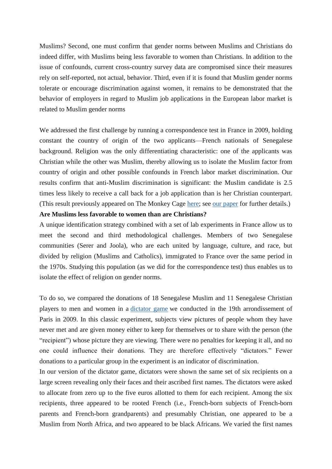Muslims? Second, one must confirm that gender norms between Muslims and Christians do indeed differ, with Muslims being less favorable to women than Christians. In addition to the issue of confounds, current cross-country survey data are compromised since their measures rely on self-reported, not actual, behavior. Third, even if it is found that Muslim gender norms tolerate or encourage discrimination against women, it remains to be demonstrated that the behavior of employers in regard to Muslim job applications in the European labor market is related to Muslim gender norms

We addressed the first challenge by running a correspondence test in France in 2009, holding constant the country of origin of the two applicants—French nationals of Senegalese background. Religion was the only differentiating characteristic: one of the applicants was Christian while the other was Muslim, thereby allowing us to isolate the Muslim factor from country of origin and other possible confounds in French labor market discrimination. Our results confirm that anti-Muslim discrimination is significant: the Muslim candidate is 2.5 times less likely to receive a call back for a job application than is her Christian counterpart. (This result previously appeared on The Monkey Cage [here;](http://themonkeycage.org/blog/2011/02/07/discrimination_against_europea/) see [our paper](http://www.pnas.org/content/early/2010/11/17/1015550107.abstract) for further details.)

## **Are Muslims less favorable to women than are Christians?**

A unique identification strategy combined with a set of lab experiments in France allow us to meet the second and third methodological challenges. Members of two Senegalese communities (Serer and Joola), who are each united by language, culture, and race, but divided by religion (Muslims and Catholics), immigrated to France over the same period in the 1970s. Studying this population (as we did for the correspondence test) thus enables us to isolate the effect of religion on gender norms.

To do so, we compared the donations of 18 Senegalese Muslim and 11 Senegalese Christian players to men and women in a [dictator game](http://en.wikipedia.org/wiki/Dictator_game) we conducted in the 19th arrondissement of Paris in 2009. In this classic experiment, subjects view pictures of people whom they have never met and are given money either to keep for themselves or to share with the person (the "recipient") whose picture they are viewing. There were no penalties for keeping it all, and no one could influence their donations. They are therefore effectively "dictators." Fewer donations to a particular group in the experiment is an indicator of discrimination.

In our version of the dictator game, dictators were shown the same set of six recipients on a large screen revealing only their faces and their ascribed first names. The dictators were asked to allocate from zero up to the five euros allotted to them for each recipient. Among the six recipients, three appeared to be rooted French (i.e., French-born subjects of French-born parents and French-born grandparents) and presumably Christian, one appeared to be a Muslim from North Africa, and two appeared to be black Africans. We varied the first names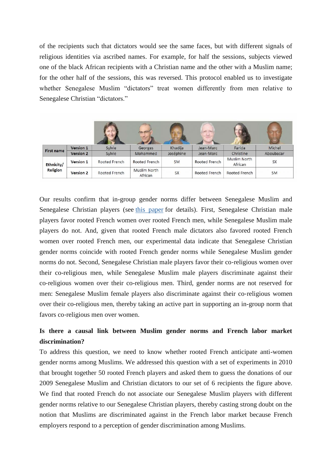of the recipients such that dictators would see the same faces, but with different signals of religious identities via ascribed names. For example, for half the sessions, subjects viewed one of the black African recipients with a Christian name and the other with a Muslim name; for the other half of the sessions, this was reversed. This protocol enabled us to investigate whether Senegalese Muslim "dictators" treat women differently from men relative to Senegalese Christian "dictators."

|                        |                  |               | <b>FUEL END</b>         |           |               |                         |           |
|------------------------|------------------|---------------|-------------------------|-----------|---------------|-------------------------|-----------|
| <b>First name</b>      | Version 1        | Sylvie        | Georges                 | Khadija   | Jean-Marc     | Farida                  | Michel    |
|                        | <b>Version 2</b> | Sylvie        | Mohammed                | Joséphine | Jean-Marc     | Christine               | Aboubacar |
| Ethnicity/<br>Religion | <b>Version 1</b> | Rooted French | Rooted French           | <b>SM</b> | Rooted French | Muslim North<br>African | <b>SX</b> |
|                        | <b>Version 2</b> | Rooted French | Muslim North<br>African | <b>SX</b> | Rooted French | Rooted French           | <b>SM</b> |

Our results confirm that in-group gender norms differ between Senegalese Muslim and Senegalese Christian players (see [this paper](http://papers.ssrn.com/sol3/papers.cfm?abstract_id=2031949) for details). First, Senegalese Christian male players favor rooted French women over rooted French men, while Senegalese Muslim male players do not. And, given that rooted French male dictators also favored rooted French women over rooted French men, our experimental data indicate that Senegalese Christian gender norms coincide with rooted French gender norms while Senegalese Muslim gender norms do not. Second, Senegalese Christian male players favor their co-religious women over their co-religious men, while Senegalese Muslim male players discriminate against their co‐religious women over their co-religious men. Third, gender norms are not reserved for men: Senegalese Muslim female players also discriminate against their co-religious women over their co-religious men, thereby taking an active part in supporting an in-group norm that favors co-religious men over women.

## **Is there a causal link between Muslim gender norms and French labor market discrimination?**

To address this question, we need to know whether rooted French anticipate anti-women gender norms among Muslims. We addressed this question with a set of experiments in 2010 that brought together 50 rooted French players and asked them to guess the donations of our 2009 Senegalese Muslim and Christian dictators to our set of 6 recipients the figure above. We find that rooted French do not associate our Senegalese Muslim players with different gender norms relative to our Senegalese Christian players, thereby casting strong doubt on the notion that Muslims are discriminated against in the French labor market because French employers respond to a perception of gender discrimination among Muslims.